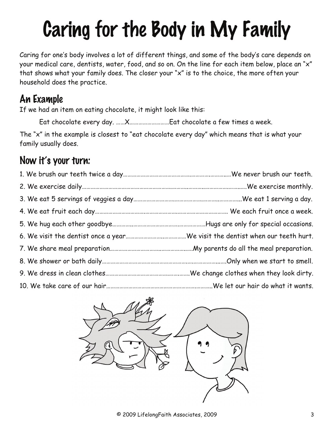# Caring for the Body in My Family

Caring for one's body involves a lot of different things, and some of the body's care depends on your medical care, dentists, water, food, and so on. On the line for each item below, place an "x" that shows what your family does. The closer your "x" is to the choice, the more often your household does the practice.

#### An Example

If we had an item on eating chocolate, it might look like this:

Eat chocolate every day. ……X………………………Eat chocolate a few times a week.

The "x" in the example is closest to "eat chocolate every day" which means that is what your family usually does.

#### Now it's your turn:

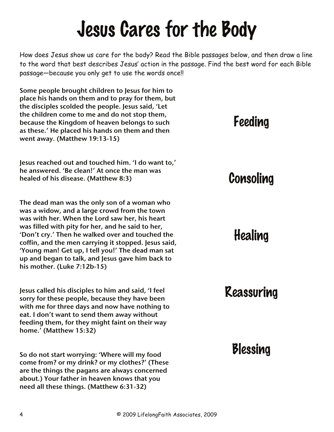## Jesus Cares for the Body

How does Jesus show us care for the body? Read the Bible passages below, and then draw a line to the word that best describes Jesus' action in the passage. Find the best word for each Bible passage—because you only get to use the words once!!

Some people brought children to Jesus for him to place his hands on them and to pray for them, but the disciples scolded the people. Jesus said, 'Let the children come to me and do not stop them, because the Kingdom of heaven belongs to such as these.' He placed his hands on them and then went away. (Matthew 19:13-15)

Jesus reached out and touched him. 'I do want to,' he answered. 'Be clean!' At once the man was healed of his disease. (Matthew 8:3)

The dead man was the only son of a woman who was a widow, and a large crowd from the town was with her. When the Lord saw her, his heart was filled with pity for her, and he said to her, 'Don't cry.' Then he walked over and touched the coffin, and the men carrying it stopped. Jesus said, 'Young man! Get up, I tell you!' The dead man sat up and began to talk, and Jesus gave him back to his mother. (Luke 7:12b-15)

Jesus called his disciples to him and said, 'I feel sorry for these people, because they have been with me for three days and now have nothing to eat. I don't want to send them away without feeding them, for they might faint on their way home.' (Matthew 15:32)

So do not start worrying: 'Where will my food come from? or my drink? or my clothes?' (These are the things the pagans are always concerned about.) Your father in heaven knows that you need all these things. (Matthew 6:31-32)

## Feeding

## Consoling

### Healing

## Reassuring

## Blessing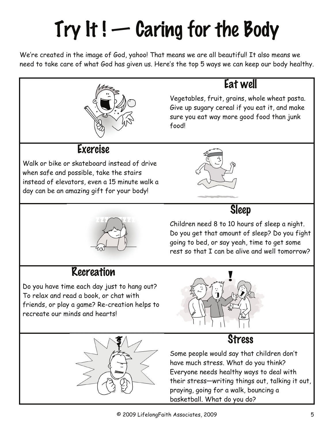# $Try$  It !  $-$  Caring for the Body

We're created in the image of God, yahoo! That means we are all beautiful! It also means we need to take care of what God has given us. Here's the top 5 ways we can keep our body healthy.



#### Eat well

Vegetables, fruit, grains, whole wheat pasta. Give up sugary cereal if you eat it, and make sure you eat way more good food than junk food!

#### Exercise

Walk or bike or skateboard instead of drive when safe and possible, take the stairs instead of elevators, even a 15 minute walk a day can be an amazing gift for your body!







#### Recreation

Do you have time each day just to hang out? To relax and read a book, or chat with friends, or play a game? Re-creation helps to recreate our minds and hearts!



#### Stress



Some people would say that children don't have much stress. What do you think? Everyone needs healthy ways to deal with their stress—writing things out, talking it out, praying, going for a walk, bouncing a basketball. What do you do?